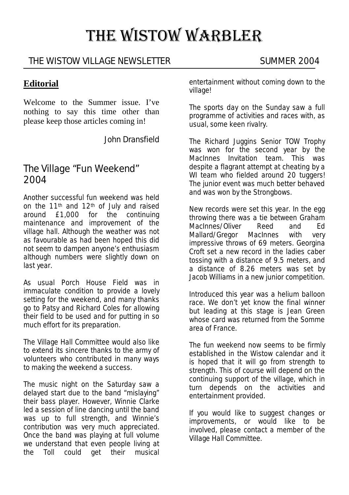# THE WISTOW WARBLER

### THE WISTOW VILLAGE NEWSLETTER SUMMER 2004

#### **Editorial**

Welcome to the Summer issue. I've nothing to say this time other than please keep those articles coming in!

John Dransfield

# The Village "Fun Weekend" 2004

Another successful fun weekend was held on the 11th and 12th of July and raised around £1,000 for the continuing maintenance and improvement of the village hall. Although the weather was not as favourable as had been hoped this did not seem to dampen anyone's enthusiasm although numbers were slightly down on last year.

As usual Porch House Field was in immaculate condition to provide a lovely setting for the weekend, and many thanks go to Patsy and Richard Coles for allowing their field to be used and for putting in so much effort for its preparation.

The Village Hall Committee would also like to extend its sincere thanks to the army of volunteers who contributed in many ways to making the weekend a success.

The music night on the Saturday saw a delayed start due to the band "mislaying" their bass player. However, Winnie Clarke led a session of line dancing until the band was up to full strength, and Winnie's contribution was very much appreciated. Once the band was playing at full volume we understand that even people living at the Toll could get their musical entertainment without coming down to the village!

The sports day on the Sunday saw a full programme of activities and races with, as usual, some keen rivalry.

The Richard Juggins Senior TOW Trophy was won for the second year by the MacInnes Invitation team. This was despite a flagrant attempt at cheating by a WI team who fielded around 20 tuggers! The junior event was much better behaved and was won by the Strongbows.

New records were set this year. In the egg throwing there was a tie between Graham MacInnes/Oliver Reed and Ed Mallard/Gregor MacInnes with very impressive throws of 69 meters. Georgina Croft set a new record in the ladies caber tossing with a distance of 9.5 meters, and a distance of 8.26 meters was set by Jacob Williams in a new junior competition.

Introduced this year was a helium balloon race. We don't yet know the final winner but leading at this stage is Jean Green whose card was returned from the Somme area of France.

The fun weekend now seems to be firmly established in the Wistow calendar and it is hoped that it will go from strength to strength. This of course will depend on the continuing support of the village, which in turn depends on the activities and entertainment provided.

If you would like to suggest changes or improvements, or would like to be involved, please contact a member of the Village Hall Committee.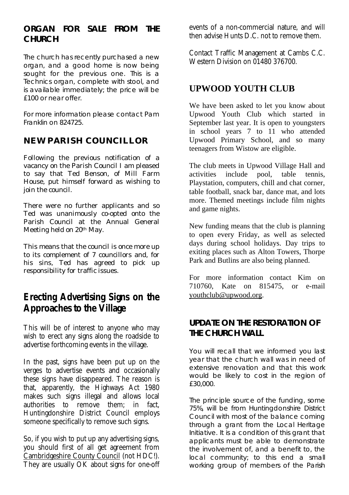#### **ORGAN FOR SALE FROM THE CHURCH**

The church has recently purchased a new organ, and a good home is now being sought for the previous one. This is a Technics organ, complete with stool, and is available immediately; the price will be £100 or near offer.

For more information please contact Pam Franklin on 824725.

#### **NEW PARISH COUNCILLOR**

Following the previous notification of a vacancy on the Parish Council I am pleased to say that Ted Benson, of Mill Farm House, put himself forward as wishing to join the council.

There were no further applicants and so Ted was unanimously co-opted onto the Parish Council at the Annual General Meeting held on 20th May.

This means that the council is once more up to its complement of 7 councillors and, for his sins, Ted has agreed to pick up responsibility for traffic issues.

# **Erecting Advertising Signs on the Approaches to the Village**

This will be of interest to anyone who may wish to erect any signs along the roadside to advertise forthcoming events in the village.

In the past, signs have been put up on the verges to advertise events and occasionally these signs have disappeared. The reason is that, apparently, the Highways Act 1980 makes such signs illegal and allows local authorities to remove them; in fact, Huntingdonshire District Council employs someone specifically to remove such signs.

So, if you wish to put up any advertising signs, you should first of all get agreement from Cambridgeshire County Council (not HDC!). They are usually OK about signs for one-off events of a non-commercial nature, and will then advise Hunts D.C. not to remove them.

Contact Traffic Management at Cambs C.C. Western Division on 01480 376700.

#### **UPWOOD YOUTH CLUB**

We have been asked to let you know about Upwood Youth Club which started in September last year. It is open to youngsters in school years 7 to 11 who attended Upwood Primary School, and so many teenagers from Wistow are eligible.

The club meets in Upwood Village Hall and activities include pool, table tennis, Playstation, computers, chill and chat corner, table football, snack bar, dance mat, and lots more. Themed meetings include film nights and game nights.

New funding means that the club is planning to open every Friday, as well as selected days during school holidays. Day trips to exiting places such as Alton Towers, Thorpe Park and Butlins are also being planned.

For more information contact Kim on 710760, Kate on 815475, or e-mail youthclub@upwood.org.

#### **UPDATE ON THE RESTORATION OF THE CHURCH WALL**

You will recall that we informed you last year that the church wall was in need of extensive renovation and that this work would be likely to cost in the region of £30,000.

The principle source of the funding, some 75%, will be from Huntingdonshire District Council with most of the balance coming through a grant from the Local Heritage Initiative. It is a condition of this grant that applicants must be able to demonstrate the involvement of, and a benefit to, the local community; to this end a small working group of members of the Parish